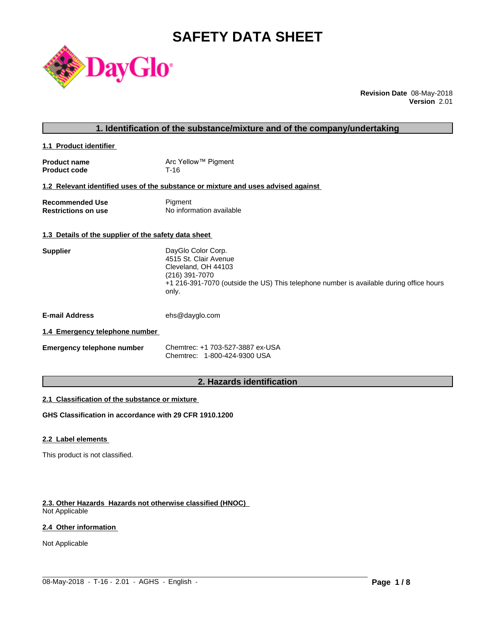# **SAFETY DATA SHEET**



**Revision Date** 08-May-2018 **Version** 2.01

|                                                      | 1. Identification of the substance/mixture and of the company/undertaking                                                                                                                |
|------------------------------------------------------|------------------------------------------------------------------------------------------------------------------------------------------------------------------------------------------|
| 1.1 Product identifier                               |                                                                                                                                                                                          |
| <b>Product name</b><br><b>Product code</b>           | Arc Yellow™ Pigment<br>$T-16$                                                                                                                                                            |
|                                                      | 1.2 Relevant identified uses of the substance or mixture and uses advised against                                                                                                        |
| <b>Recommended Use</b><br><b>Restrictions on use</b> | Pigment<br>No information available                                                                                                                                                      |
| 1.3 Details of the supplier of the safety data sheet |                                                                                                                                                                                          |
| <b>Supplier</b>                                      | DayGlo Color Corp.<br>4515 St. Clair Avenue<br>Cleveland, OH 44103<br>(216) 391-7070<br>+1 216-391-7070 (outside the US) This telephone number is available during office hours<br>only. |
| <b>E-mail Address</b>                                | ehs@dayglo.com                                                                                                                                                                           |
| 1.4 Emergency telephone number                       |                                                                                                                                                                                          |
| <b>Emergency telephone number</b>                    | Chemtrec: +1 703-527-3887 ex-USA<br>Chemtrec: 1-800-424-9300 USA                                                                                                                         |
|                                                      |                                                                                                                                                                                          |

# **2. Hazards identification**

 $\_$  ,  $\_$  ,  $\_$  ,  $\_$  ,  $\_$  ,  $\_$  ,  $\_$  ,  $\_$  ,  $\_$  ,  $\_$  ,  $\_$  ,  $\_$  ,  $\_$  ,  $\_$  ,  $\_$  ,  $\_$  ,  $\_$  ,  $\_$  ,  $\_$  ,  $\_$  ,  $\_$  ,  $\_$  ,  $\_$  ,  $\_$  ,  $\_$  ,  $\_$  ,  $\_$  ,  $\_$  ,  $\_$  ,  $\_$  ,  $\_$  ,  $\_$  ,  $\_$  ,  $\_$  ,  $\_$  ,  $\_$  ,  $\_$  ,

### **2.1 Classification of the substance or mixture**

**GHS Classification in accordance with 29 CFR 1910.1200**

### **2.2 Label elements**

This product is not classified.

# **2.3. Other Hazards Hazards not otherwise classified (HNOC)**

Not Applicable

# **2.4 Other information**

Not Applicable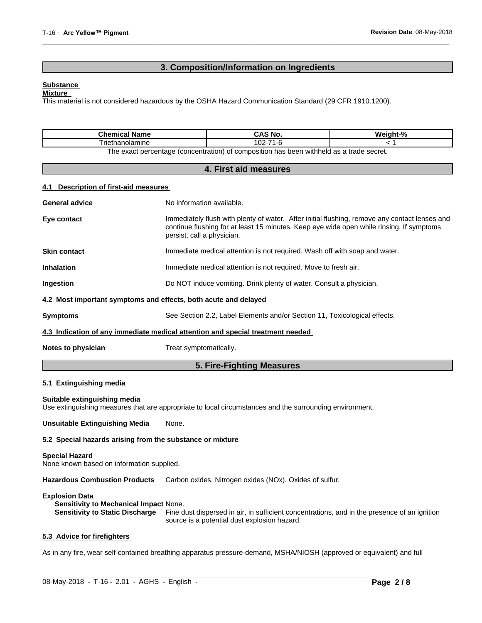# **3. Composition/Information on Ingredients**

 $\overline{\phantom{a}}$  ,  $\overline{\phantom{a}}$  ,  $\overline{\phantom{a}}$  ,  $\overline{\phantom{a}}$  ,  $\overline{\phantom{a}}$  ,  $\overline{\phantom{a}}$  ,  $\overline{\phantom{a}}$  ,  $\overline{\phantom{a}}$  ,  $\overline{\phantom{a}}$  ,  $\overline{\phantom{a}}$  ,  $\overline{\phantom{a}}$  ,  $\overline{\phantom{a}}$  ,  $\overline{\phantom{a}}$  ,  $\overline{\phantom{a}}$  ,  $\overline{\phantom{a}}$  ,  $\overline{\phantom{a}}$ 

#### **Substance**

#### **Mixture**

This material is not considered hazardous by the OSHA Hazard Communication Standard (29 CFR 1910.1200).

| Chemical<br>Name                                                                                                           | und<br>NU   | $\mathbf{a}$<br>Mainh |  |  |
|----------------------------------------------------------------------------------------------------------------------------|-------------|-----------------------|--|--|
| - -<br>riethanolamine                                                                                                      | $\sim$<br>U |                       |  |  |
| withheld as a trade secret.<br>exact nercentage (concentration) א<br>has<br>composition<br>: heer<br>זה וו<br><b>DA AY</b> |             |                       |  |  |

#### oncentration) or con

#### **4. First aid measures**

#### **4.1 Description of first-aid measures**

| Eye contact<br>persist, call a physician.<br><b>Skin contact</b><br>Immediate medical attention is not required. Wash off with soap and water.<br><b>Inhalation</b><br>Immediate medical attention is not required. Move to fresh air.<br>Do NOT induce vomiting. Drink plenty of water. Consult a physician.<br>Ingestion<br>4.2 Most important symptoms and effects, both acute and delayed<br><b>Symptoms</b><br>See Section 2.2, Label Elements and/or Section 11, Toxicological effects.<br>4.3 Indication of any immediate medical attention and special treatment needed<br>Treat symptomatically.<br>Notes to physician |                       | 5. Fire-Fighting Measures                                                                                                                                                                 |  |  |
|---------------------------------------------------------------------------------------------------------------------------------------------------------------------------------------------------------------------------------------------------------------------------------------------------------------------------------------------------------------------------------------------------------------------------------------------------------------------------------------------------------------------------------------------------------------------------------------------------------------------------------|-----------------------|-------------------------------------------------------------------------------------------------------------------------------------------------------------------------------------------|--|--|
|                                                                                                                                                                                                                                                                                                                                                                                                                                                                                                                                                                                                                                 |                       |                                                                                                                                                                                           |  |  |
|                                                                                                                                                                                                                                                                                                                                                                                                                                                                                                                                                                                                                                 |                       |                                                                                                                                                                                           |  |  |
|                                                                                                                                                                                                                                                                                                                                                                                                                                                                                                                                                                                                                                 |                       |                                                                                                                                                                                           |  |  |
|                                                                                                                                                                                                                                                                                                                                                                                                                                                                                                                                                                                                                                 |                       |                                                                                                                                                                                           |  |  |
|                                                                                                                                                                                                                                                                                                                                                                                                                                                                                                                                                                                                                                 |                       |                                                                                                                                                                                           |  |  |
|                                                                                                                                                                                                                                                                                                                                                                                                                                                                                                                                                                                                                                 |                       |                                                                                                                                                                                           |  |  |
|                                                                                                                                                                                                                                                                                                                                                                                                                                                                                                                                                                                                                                 |                       |                                                                                                                                                                                           |  |  |
|                                                                                                                                                                                                                                                                                                                                                                                                                                                                                                                                                                                                                                 |                       | Immediately flush with plenty of water. After initial flushing, remove any contact lenses and<br>continue flushing for at least 15 minutes. Keep eye wide open while rinsing. If symptoms |  |  |
|                                                                                                                                                                                                                                                                                                                                                                                                                                                                                                                                                                                                                                 | <b>General advice</b> | No information available.                                                                                                                                                                 |  |  |

# **5.1 Extinguishing media**

#### **Suitable extinguishing media**

Use extinguishing measures that are appropriate to local circumstances and the surrounding environment.

**Unsuitable Extinguishing Media** None.

#### **5.2 Special hazards arising from the substance or mixture**

#### **Special Hazard**

None known based on information supplied.

**Hazardous Combustion Products** Carbon oxides. Nitrogen oxides (NOx). Oxides of sulfur.

#### **Explosion Data**

**Sensitivity to Mechanical Impact** None. **Sensitivity to Static Discharge** Fine dust dispersed in air, in sufficient concentrations, and in the presence of an ignition source is a potential dust explosion hazard.

# **5.3 Advice for firefighters**

As in any fire, wear self-contained breathing apparatus pressure-demand, MSHA/NIOSH (approved or equivalent) and full

 $\_$  ,  $\_$  ,  $\_$  ,  $\_$  ,  $\_$  ,  $\_$  ,  $\_$  ,  $\_$  ,  $\_$  ,  $\_$  ,  $\_$  ,  $\_$  ,  $\_$  ,  $\_$  ,  $\_$  ,  $\_$  ,  $\_$  ,  $\_$  ,  $\_$  ,  $\_$  ,  $\_$  ,  $\_$  ,  $\_$  ,  $\_$  ,  $\_$  ,  $\_$  ,  $\_$  ,  $\_$  ,  $\_$  ,  $\_$  ,  $\_$  ,  $\_$  ,  $\_$  ,  $\_$  ,  $\_$  ,  $\_$  ,  $\_$  ,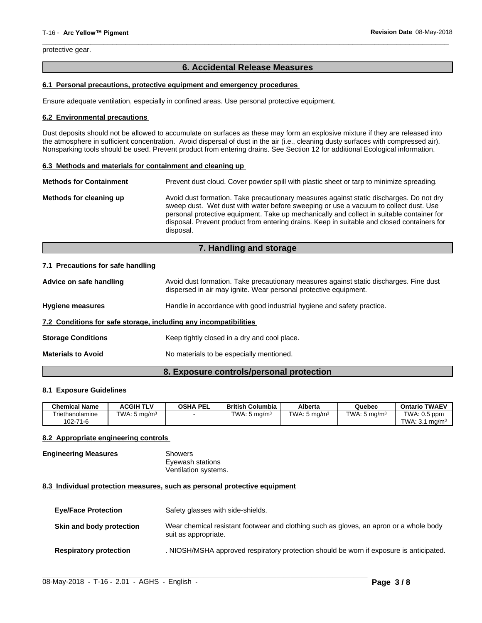protective gear.

# **6. Accidental Release Measures**

 $\overline{\phantom{a}}$  ,  $\overline{\phantom{a}}$  ,  $\overline{\phantom{a}}$  ,  $\overline{\phantom{a}}$  ,  $\overline{\phantom{a}}$  ,  $\overline{\phantom{a}}$  ,  $\overline{\phantom{a}}$  ,  $\overline{\phantom{a}}$  ,  $\overline{\phantom{a}}$  ,  $\overline{\phantom{a}}$  ,  $\overline{\phantom{a}}$  ,  $\overline{\phantom{a}}$  ,  $\overline{\phantom{a}}$  ,  $\overline{\phantom{a}}$  ,  $\overline{\phantom{a}}$  ,  $\overline{\phantom{a}}$ 

#### **6.1 Personal precautions, protective equipment and emergency procedures**

Ensure adequate ventilation, especially in confined areas. Use personal protective equipment.

#### **6.2 Environmental precautions**

Dust deposits should not be allowed to accumulate on surfaces as these may form an explosive mixture if they are released into the atmosphere in sufficient concentration. Avoid dispersal of dust in the air (i.e., cleaning dusty surfaces with compressed air). Nonsparking tools should be used. Prevent product from entering drains. See Section 12 for additional Ecological information.

#### **6.3 Methods and materials for containment and cleaning up**

| <b>Methods for Containment</b> | Prevent dust cloud. Cover powder spill with plastic sheet or tarp to minimize spreading.                                                                                                                                                                                                                                                                                                |  |  |
|--------------------------------|-----------------------------------------------------------------------------------------------------------------------------------------------------------------------------------------------------------------------------------------------------------------------------------------------------------------------------------------------------------------------------------------|--|--|
| Methods for cleaning up        | Avoid dust formation. Take precautionary measures against static discharges. Do not dry<br>sweep dust. Wet dust with water before sweeping or use a vacuum to collect dust. Use<br>personal protective equipment. Take up mechanically and collect in suitable container for<br>disposal. Prevent product from entering drains. Keep in suitable and closed containers for<br>disposal. |  |  |

# **7. Handling and storage**

#### **7.1 Precautions for safe handling**

| Advice on safe handling                                          | Avoid dust formation. Take precautionary measures against static discharges. Fine dust<br>dispersed in air may ignite. Wear personal protective equipment. |
|------------------------------------------------------------------|------------------------------------------------------------------------------------------------------------------------------------------------------------|
| <b>Hygiene measures</b>                                          | Handle in accordance with good industrial hygiene and safety practice.                                                                                     |
| 7.2 Conditions for safe storage, including any incompatibilities |                                                                                                                                                            |
| <b>Storage Conditions</b>                                        | Keep tightly closed in a dry and cool place.                                                                                                               |
| <b>Materials to Avoid</b>                                        | No materials to be especially mentioned.                                                                                                                   |
|                                                                  |                                                                                                                                                            |

# **8. Exposure controls/personal protection**

#### **8.1 Exposure Guidelines**

| <b>Chemical Name</b>                    | <b>ACGIH TLV</b>        | <b>OSHA PEL</b> | <b>British Columbia</b>            | Alberta                 | Quebec                        | , TWAEV<br>Ontario                           |
|-----------------------------------------|-------------------------|-----------------|------------------------------------|-------------------------|-------------------------------|----------------------------------------------|
| $ \cdot$<br>Friethanolamine<br>102-71-6 | TWA: $5 \text{ mg/m}^3$ |                 | TWA: $5 \text{ mg/m}$ <sup>3</sup> | TWA: $5 \text{ mg/m}^3$ | TWA:<br>. 5 ma/m <sup>3</sup> | TWA: 0.5 ppm<br>TWA: 3.<br>ma/m <sup>3</sup> |

#### **8.2 Appropriate engineering controls**

# **Engineering Measures** Showers

Eyewash stations Ventilation systems.

#### **8.3 Individual protection measures, such as personal protective equipment**

| <b>Eye/Face Protection</b>    | Safety glasses with side-shields.                                                                              |
|-------------------------------|----------------------------------------------------------------------------------------------------------------|
| Skin and body protection      | Wear chemical resistant footwear and clothing such as gloves, an apron or a whole body<br>suit as appropriate. |
| <b>Respiratory protection</b> | . NIOSH/MSHA approved respiratory protection should be worn if exposure is anticipated.                        |

 $\_$  ,  $\_$  ,  $\_$  ,  $\_$  ,  $\_$  ,  $\_$  ,  $\_$  ,  $\_$  ,  $\_$  ,  $\_$  ,  $\_$  ,  $\_$  ,  $\_$  ,  $\_$  ,  $\_$  ,  $\_$  ,  $\_$  ,  $\_$  ,  $\_$  ,  $\_$  ,  $\_$  ,  $\_$  ,  $\_$  ,  $\_$  ,  $\_$  ,  $\_$  ,  $\_$  ,  $\_$  ,  $\_$  ,  $\_$  ,  $\_$  ,  $\_$  ,  $\_$  ,  $\_$  ,  $\_$  ,  $\_$  ,  $\_$  ,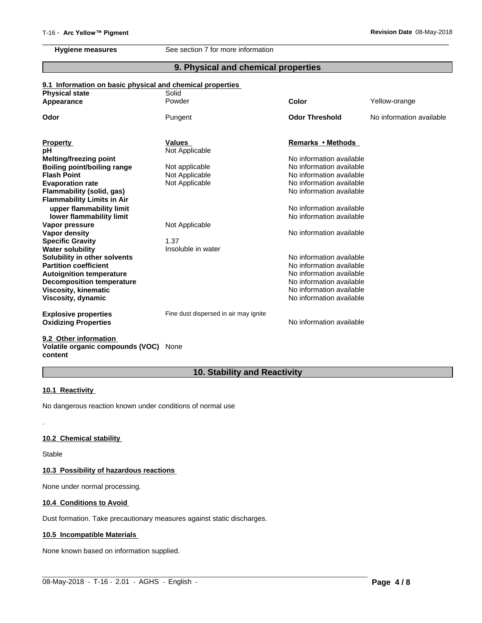**Hygiene measures** See section 7 for more information

# **9. Physical and chemical properties**

 $\overline{\phantom{a}}$  ,  $\overline{\phantom{a}}$  ,  $\overline{\phantom{a}}$  ,  $\overline{\phantom{a}}$  ,  $\overline{\phantom{a}}$  ,  $\overline{\phantom{a}}$  ,  $\overline{\phantom{a}}$  ,  $\overline{\phantom{a}}$  ,  $\overline{\phantom{a}}$  ,  $\overline{\phantom{a}}$  ,  $\overline{\phantom{a}}$  ,  $\overline{\phantom{a}}$  ,  $\overline{\phantom{a}}$  ,  $\overline{\phantom{a}}$  ,  $\overline{\phantom{a}}$  ,  $\overline{\phantom{a}}$ 

# **9.1 Information on basic physical and chemical properties**

| <b>Physical state</b><br>Appearance | Solid<br>Powder                       | Color                    | Yellow-orange            |
|-------------------------------------|---------------------------------------|--------------------------|--------------------------|
|                                     |                                       |                          |                          |
| Odor                                | Pungent                               | <b>Odor Threshold</b>    | No information available |
|                                     |                                       |                          |                          |
| <b>Property</b>                     | <b>Values</b>                         | Remarks • Methods        |                          |
| рH                                  | Not Applicable                        |                          |                          |
| Melting/freezing point              |                                       | No information available |                          |
| <b>Boiling point/boiling range</b>  | Not applicable                        | No information available |                          |
| <b>Flash Point</b>                  | Not Applicable                        | No information available |                          |
| <b>Evaporation rate</b>             | Not Applicable                        | No information available |                          |
| Flammability (solid, gas)           |                                       | No information available |                          |
| <b>Flammability Limits in Air</b>   |                                       |                          |                          |
| upper flammability limit            |                                       | No information available |                          |
| lower flammability limit            |                                       | No information available |                          |
| Vapor pressure                      | Not Applicable                        |                          |                          |
| Vapor density                       |                                       | No information available |                          |
| <b>Specific Gravity</b>             | 1.37                                  |                          |                          |
| <b>Water solubility</b>             | Insoluble in water                    |                          |                          |
| Solubility in other solvents        |                                       | No information available |                          |
| <b>Partition coefficient</b>        |                                       | No information available |                          |
| <b>Autoignition temperature</b>     |                                       | No information available |                          |
| <b>Decomposition temperature</b>    |                                       | No information available |                          |
| <b>Viscosity, kinematic</b>         |                                       | No information available |                          |
| Viscosity, dynamic                  |                                       | No information available |                          |
| <b>Explosive properties</b>         | Fine dust dispersed in air may ignite |                          |                          |
| <b>Oxidizing Properties</b>         |                                       | No information available |                          |
|                                     |                                       |                          |                          |

#### **9.2 Other information Volatile organic compounds (VOC)** None **content**

# **10. Stability and Reactivity**

 $\_$  ,  $\_$  ,  $\_$  ,  $\_$  ,  $\_$  ,  $\_$  ,  $\_$  ,  $\_$  ,  $\_$  ,  $\_$  ,  $\_$  ,  $\_$  ,  $\_$  ,  $\_$  ,  $\_$  ,  $\_$  ,  $\_$  ,  $\_$  ,  $\_$  ,  $\_$  ,  $\_$  ,  $\_$  ,  $\_$  ,  $\_$  ,  $\_$  ,  $\_$  ,  $\_$  ,  $\_$  ,  $\_$  ,  $\_$  ,  $\_$  ,  $\_$  ,  $\_$  ,  $\_$  ,  $\_$  ,  $\_$  ,  $\_$  ,

### **10.1 Reactivity**

No dangerous reaction known under conditions of normal use

#### **10.2 Chemical stability**

Stable

.

# **10.3 Possibility of hazardous reactions**

None under normal processing.

#### **10.4 Conditions to Avoid**

Dust formation. Take precautionary measures against static discharges.

# **10.5 Incompatible Materials**

None known based on information supplied.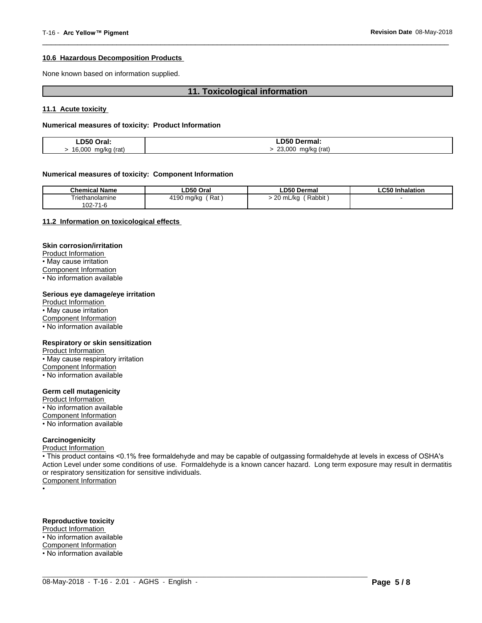#### **10.6 Hazardous Decomposition Products**

None known based on information supplied.

### **11. Toxicological information**

 $\overline{\phantom{a}}$  ,  $\overline{\phantom{a}}$  ,  $\overline{\phantom{a}}$  ,  $\overline{\phantom{a}}$  ,  $\overline{\phantom{a}}$  ,  $\overline{\phantom{a}}$  ,  $\overline{\phantom{a}}$  ,  $\overline{\phantom{a}}$  ,  $\overline{\phantom{a}}$  ,  $\overline{\phantom{a}}$  ,  $\overline{\phantom{a}}$  ,  $\overline{\phantom{a}}$  ,  $\overline{\phantom{a}}$  ,  $\overline{\phantom{a}}$  ,  $\overline{\phantom{a}}$  ,  $\overline{\phantom{a}}$ 

#### **11.1 Acute toxicity**

#### **Numerical measures of toxicity: Product Information**

| LD50 Oral:<br>.          | ∟D50 Γ<br>Dermal:          |
|--------------------------|----------------------------|
| 16,000<br>(rat)<br>ma/ka | 23.000<br>ว (rat)<br>ma/ka |

#### **Numerical measures of toxicity: Component Information**

| <b>Chemical Name</b> | LD50 Oral          | <b>LD50 Dermal</b>                | <b>LC50 Inhalation</b> |
|----------------------|--------------------|-----------------------------------|------------------------|
| Triethanolamine      | Rat,<br>4190 ma/ka | Rabbit<br>$\sim$<br>mL/ko ر<br>zu |                        |
| 102-71-6             |                    |                                   |                        |

#### **11.2 Information on toxicologicaleffects**

#### **Skin corrosion/irritation**

Product Information • May cause irritation Component Information

• No information available

#### **Serious eye damage/eye irritation**

Product Information • May cause irritation Component Information • No information available

#### **Respiratory or skin sensitization**

Product Information • May cause respiratory irritation Component Information • No information available

#### **Germ cell mutagenicity**

Product Information

• No information available

Component Information

• No information available

## **Carcinogenicity**

Product Information

• This product contains <0.1% free formaldehyde and may be capable of outgassing formaldehyde at levels in excess of OSHA's Action Level under some conditions of use. Formaldehyde is a known cancer hazard. Long term exposure may result in dermatitis or respiratory sensitization for sensitive individuals.<br>Component Information

 $\_$  ,  $\_$  ,  $\_$  ,  $\_$  ,  $\_$  ,  $\_$  ,  $\_$  ,  $\_$  ,  $\_$  ,  $\_$  ,  $\_$  ,  $\_$  ,  $\_$  ,  $\_$  ,  $\_$  ,  $\_$  ,  $\_$  ,  $\_$  ,  $\_$  ,  $\_$  ,  $\_$  ,  $\_$  ,  $\_$  ,  $\_$  ,  $\_$  ,  $\_$  ,  $\_$  ,  $\_$  ,  $\_$  ,  $\_$  ,  $\_$  ,  $\_$  ,  $\_$  ,  $\_$  ,  $\_$  ,  $\_$  ,  $\_$  ,

•

# **Reproductive toxicity**

Product Information

• No information available

Component Information

• No information available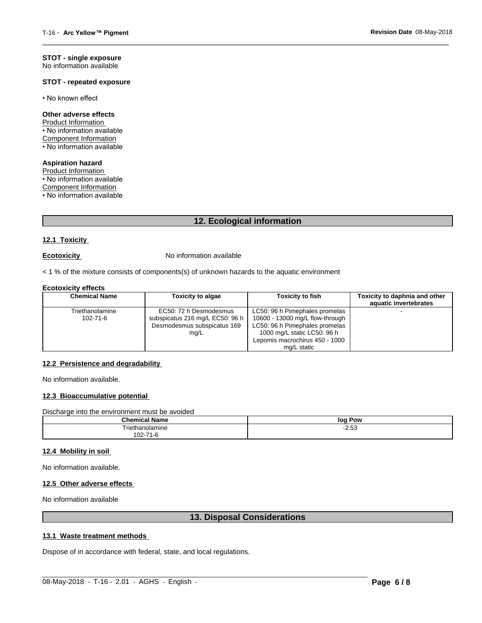#### **STOT - single exposure** No information available

#### **STOT - repeated exposure**

• No known effect

#### **Other adverse effects**

Product Information • No information available Component Information • No information available

**Aspiration hazard** Product Information • No information available Component Information

• No information available

# **12. Ecological information**

 $\overline{\phantom{a}}$  ,  $\overline{\phantom{a}}$  ,  $\overline{\phantom{a}}$  ,  $\overline{\phantom{a}}$  ,  $\overline{\phantom{a}}$  ,  $\overline{\phantom{a}}$  ,  $\overline{\phantom{a}}$  ,  $\overline{\phantom{a}}$  ,  $\overline{\phantom{a}}$  ,  $\overline{\phantom{a}}$  ,  $\overline{\phantom{a}}$  ,  $\overline{\phantom{a}}$  ,  $\overline{\phantom{a}}$  ,  $\overline{\phantom{a}}$  ,  $\overline{\phantom{a}}$  ,  $\overline{\phantom{a}}$ 

# **12.1 Toxicity**

**Ecotoxicity No information available** 

 $<$  1 % of the mixture consists of components(s) of unknown hazards to the aquatic environment

#### **Ecotoxicity effects**

| <b>Chemical Name</b> | <b>Toxicity to algae</b>        | <b>Toxicity to fish</b>         | Toxicity to daphnia and other<br>aquatic invertebrates |
|----------------------|---------------------------------|---------------------------------|--------------------------------------------------------|
| Triethanolamine      | EC50: 72 h Desmodesmus          | LC50: 96 h Pimephales promelas  |                                                        |
| 102-71-6             | subspicatus 216 mg/L EC50: 96 h | 10600 - 13000 mg/L flow-through |                                                        |
|                      | Desmodesmus subspicatus 169     | LC50: 96 h Pimephales promelas  |                                                        |
|                      | mg/L                            | 1000 mg/L static LC50: 96 h     |                                                        |
|                      |                                 | Lepomis macrochirus 450 - 1000  |                                                        |
|                      |                                 | mg/L static                     |                                                        |

#### **12.2 Persistence and degradability**

No information available.

#### **12.3 Bioaccumulative potential**

Discharge into the environment must be avoided

| $1$<br>Name<br>Chemica   | loq<br>Pow             |
|--------------------------|------------------------|
| ∩olamıne<br>ıаı          | $\sim$ $\sim$<br>-2.OO |
| $\sim$<br>1-r.<br>∘ –∠∪، |                        |

# **12.4 Mobility in soil**

No information available.

#### **12.5 Other adverse effects**

No information available

# **13. Disposal Considerations**

 $\_$  ,  $\_$  ,  $\_$  ,  $\_$  ,  $\_$  ,  $\_$  ,  $\_$  ,  $\_$  ,  $\_$  ,  $\_$  ,  $\_$  ,  $\_$  ,  $\_$  ,  $\_$  ,  $\_$  ,  $\_$  ,  $\_$  ,  $\_$  ,  $\_$  ,  $\_$  ,  $\_$  ,  $\_$  ,  $\_$  ,  $\_$  ,  $\_$  ,  $\_$  ,  $\_$  ,  $\_$  ,  $\_$  ,  $\_$  ,  $\_$  ,  $\_$  ,  $\_$  ,  $\_$  ,  $\_$  ,  $\_$  ,  $\_$  ,

### **13.1 Waste treatment methods**

Dispose of in accordance with federal, state, and local regulations.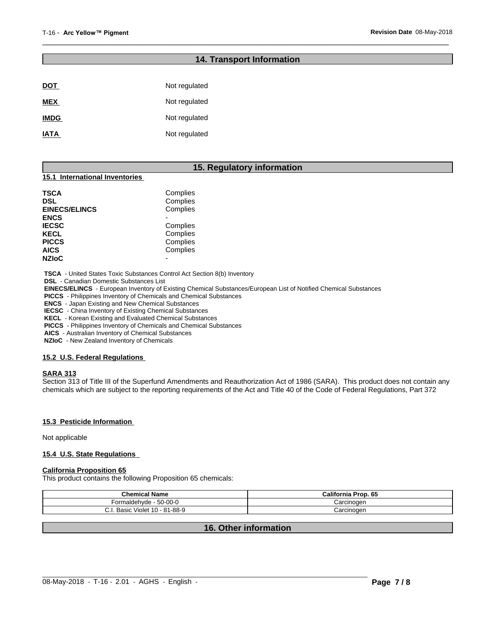# **14. Transport Information**

 $\overline{\phantom{a}}$  ,  $\overline{\phantom{a}}$  ,  $\overline{\phantom{a}}$  ,  $\overline{\phantom{a}}$  ,  $\overline{\phantom{a}}$  ,  $\overline{\phantom{a}}$  ,  $\overline{\phantom{a}}$  ,  $\overline{\phantom{a}}$  ,  $\overline{\phantom{a}}$  ,  $\overline{\phantom{a}}$  ,  $\overline{\phantom{a}}$  ,  $\overline{\phantom{a}}$  ,  $\overline{\phantom{a}}$  ,  $\overline{\phantom{a}}$  ,  $\overline{\phantom{a}}$  ,  $\overline{\phantom{a}}$ 

| <b>DOT</b>  | Not regulated |
|-------------|---------------|
| <b>MEX</b>  | Not regulated |
| <b>IMDG</b> | Not regulated |
| <b>IATA</b> | Not regulated |

# **15. Regulatory information**

# **15.1 International Inventories**

| TSCA<br>DSL          | Complies<br>Complies |  |
|----------------------|----------------------|--|
| <b>EINECS/ELINCS</b> | Complies             |  |
| ENCS                 |                      |  |
| <b>IECSC</b>         | Complies             |  |
| KECL                 | Complies             |  |
| PICCS                | Complies             |  |
| AICS                 | Complies             |  |
| <b>NZIoC</b>         |                      |  |
|                      |                      |  |

 **TSCA** - United States Toxic Substances Control Act Section 8(b) Inventory

 **DSL** - Canadian Domestic Substances List

 **EINECS/ELINCS** - European Inventory of Existing Chemical Substances/European List of Notified Chemical Substances

 **PICCS** - Philippines Inventory of Chemicals and Chemical Substances

 **ENCS** - Japan Existing and New Chemical Substances

 **IECSC** - China Inventory of Existing Chemical Substances

 **KECL** - Korean Existing and Evaluated Chemical Substances

 **PICCS** - Philippines Inventory of Chemicals and Chemical Substances

 **AICS** - Australian Inventory of Chemical Substances

 **NZIoC** - New Zealand Inventory of Chemicals

#### **15.2 U.S. Federal Regulations**

#### **SARA 313**

Section 313 of Title III of the Superfund Amendments and Reauthorization Act of 1986 (SARA). This product does not contain any chemicals which are subject to the reporting requirements of the Act and Title 40 of the Code of Federal Regulations, Part 372

#### **15.3 Pesticide Information**

Not applicable

#### **15.4 U.S. State Regulations**

# **California Proposition 65**

This product contains the following Proposition 65 chemicals:

| <b>Chemical Name</b>                | California<br>Prop. 65 |
|-------------------------------------|------------------------|
| $-50-00-0$<br>Formaldehvde          | Carcinogen             |
| Violet 10 - 81-88-9<br>Basic<br>u.i | Carcinogen             |

# **16. Other information**

 $\_$  ,  $\_$  ,  $\_$  ,  $\_$  ,  $\_$  ,  $\_$  ,  $\_$  ,  $\_$  ,  $\_$  ,  $\_$  ,  $\_$  ,  $\_$  ,  $\_$  ,  $\_$  ,  $\_$  ,  $\_$  ,  $\_$  ,  $\_$  ,  $\_$  ,  $\_$  ,  $\_$  ,  $\_$  ,  $\_$  ,  $\_$  ,  $\_$  ,  $\_$  ,  $\_$  ,  $\_$  ,  $\_$  ,  $\_$  ,  $\_$  ,  $\_$  ,  $\_$  ,  $\_$  ,  $\_$  ,  $\_$  ,  $\_$  ,